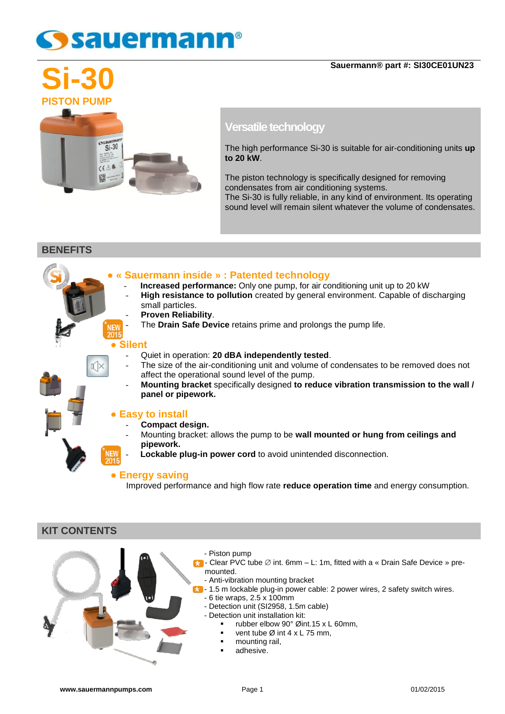## sauermann®



### **Versatile technology**

The high performance Si-30 is suitable for air-conditioning units **up to 20 kW**.

The piston technology is specifically designed for removing condensates from air conditioning systems.

The Si-30 is fully reliable, in any kind of environment. Its operating sound level will remain silent whatever the volume of condensates.

**BENEFITS**

#### **● « Sauermann inside » : Patented technology**

- **Increased performance:** Only one pump, for air conditioning unit up to 20 kW
- **High resistance to pollution** created by general environment. Capable of discharging small particles.
	- **Proven Reliability**.
	- The **Drain Safe Device** retains prime and prolongs the pump life.

#### **● Silent**

NEW<br>2015

## - Quiet in operation: **20 dBA independently tested**.

- The size of the air-conditioning unit and volume of condensates to be removed does not affect the operational sound level of the pump.
- **Mounting bracket** specifically designed **to reduce vibration transmission to the wall / panel or pipework.**

#### **● Easy to install**

- **Compact design.**
- Mounting bracket: allows the pump to be **wall mounted or hung from ceilings and pipework.**
- Lockable plug-in power cord to avoid unintended disconnection.

#### **● Energy saving**

Improved performance and high flow rate **reduce operation time** and energy consumption.

#### **KIT CONTENTS**